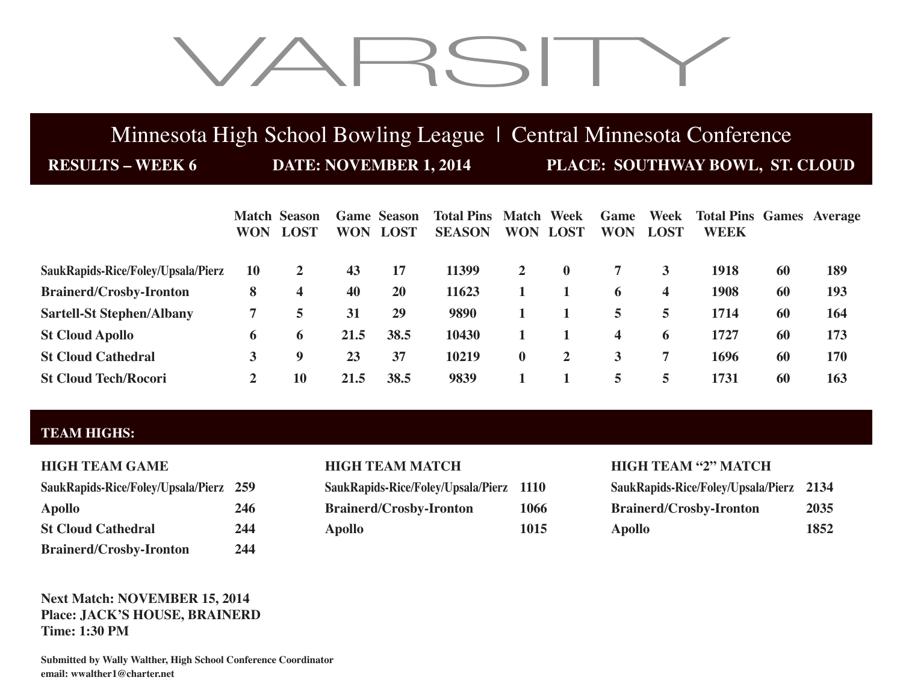# VARSITY

## Minnesota High School Bowling League | Central Minnesota Conference

**RESULTS – WEEK 6 DATE: NOVEMBER 1, 2014 PLACE: SOUTHWAY BOWL, ST. CLOUD**

|                                    | <b>WON</b> | <b>Match Season</b><br><b>LOST</b> | <b>WON</b> | <b>Game Season</b><br><b>LOST</b> | <b>Total Pins Match Week</b><br><b>SEASON</b> | <b>WON</b>   | <b>LOST</b>  | Game<br><b>WON</b> | <b>LOST</b> | <b>Week</b> Total Pins Games Average<br><b>WEEK</b> |    |            |
|------------------------------------|------------|------------------------------------|------------|-----------------------------------|-----------------------------------------------|--------------|--------------|--------------------|-------------|-----------------------------------------------------|----|------------|
| SaukRapids-Rice/Foley/Upsala/Pierz | 10         | 2                                  | 43         | 17                                | 11399                                         | $\mathbf{2}$ | $\mathbf{0}$ |                    |             | 1918                                                | 60 | 189        |
| <b>Brainerd/Crosby-Ironton</b>     | 8          | 4                                  | 40         | 20                                | 11623                                         |              |              | 6                  | 4           | 1908                                                | 60 | 193        |
| <b>Sartell-St Stephen/Albany</b>   |            | 5                                  | 31         | 29                                | 9890                                          |              |              | 5                  | 5.          | 1714                                                | 60 | 164        |
| <b>St Cloud Apollo</b>             | 6          | 6                                  | 21.5       | 38.5                              | 10430                                         |              |              | $\boldsymbol{4}$   | 6           | 1727                                                | 60 | 173        |
| <b>St Cloud Cathedral</b>          |            | 9                                  | 23         | 37                                | 10219                                         | $\mathbf{0}$ | $\mathbf{2}$ | 3                  |             | 1696                                                | 60 | <b>170</b> |
| <b>St Cloud Tech/Rocori</b>        | 2          | 10                                 | 21.5       | 38.5                              | 9839                                          |              |              | 5                  | 5           | 1731                                                | 60 | 163        |

## **TEAM HIGHS:**

| SaukRapids-Rice/Foley/Upsala/Pierz 259 |     |
|----------------------------------------|-----|
| <b>Apollo</b>                          | 246 |
| <b>St Cloud Cathedral</b>              | 244 |
| <b>Brainerd/Crosby-Ironton</b>         | 244 |

| SaukRapids-Rice/Foley/Upsala/Pierz 1110 |      |
|-----------------------------------------|------|
| <b>Brainerd/Crosby-Ironton</b>          | 1066 |
| <b>Apollo</b>                           | 1015 |

## **HIGH TEAM MATCH HIGH TEAM "2" MATCH**

| SaukRapids-Rice/Foley/Upsala/Pierz 259 |     | SaukRapids-Rice/Foley/Upsala/Pierz 1110 |      | SaukRapids-Rice/Foley/Upsala/Pierz 2134 |      |
|----------------------------------------|-----|-----------------------------------------|------|-----------------------------------------|------|
| Apollo                                 | 246 | <b>Brainerd/Crosby-Ironton</b>          | 1066 | <b>Brainerd/Crosby-Ironton</b>          | 2035 |
| <b>St Cloud Cathedral</b>              | 244 | Apollo                                  | 1015 | Apollo                                  | 1852 |

## **Next Match: NOVEMBER 15, 2014 Place: JACK'S HOUSE, BRAINERD Time: 1:30 PM**